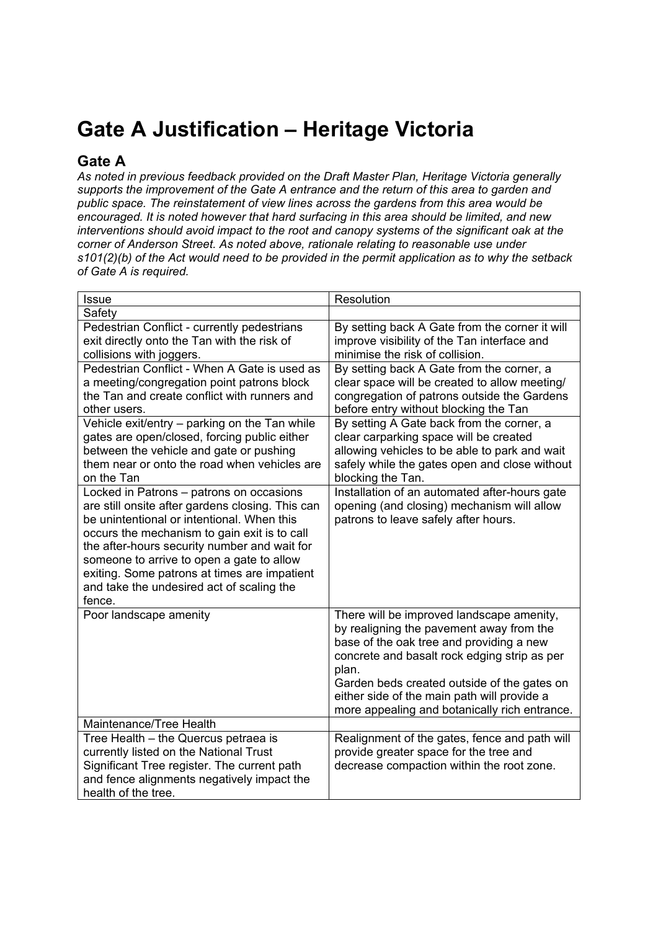## **Gate A Justification – Heritage Victoria**

## **Gate A**

*As noted in previous feedback provided on the Draft Master Plan, Heritage Victoria generally supports the improvement of the Gate A entrance and the return of this area to garden and public space. The reinstatement of view lines across the gardens from this area would be encouraged. It is noted however that hard surfacing in this area should be limited, and new interventions should avoid impact to the root and canopy systems of the significant oak at the corner of Anderson Street. As noted above, rationale relating to reasonable use under s101(2)(b) of the Act would need to be provided in the permit application as to why the setback of Gate A is required.* 

| <b>Issue</b>                                                                                                                                                                                                                                                                                                                                                                                   | Resolution                                                                                                                                                                                                                                                                                                                                |
|------------------------------------------------------------------------------------------------------------------------------------------------------------------------------------------------------------------------------------------------------------------------------------------------------------------------------------------------------------------------------------------------|-------------------------------------------------------------------------------------------------------------------------------------------------------------------------------------------------------------------------------------------------------------------------------------------------------------------------------------------|
| Safety                                                                                                                                                                                                                                                                                                                                                                                         |                                                                                                                                                                                                                                                                                                                                           |
| Pedestrian Conflict - currently pedestrians<br>exit directly onto the Tan with the risk of<br>collisions with joggers.                                                                                                                                                                                                                                                                         | By setting back A Gate from the corner it will<br>improve visibility of the Tan interface and<br>minimise the risk of collision.                                                                                                                                                                                                          |
| Pedestrian Conflict - When A Gate is used as<br>a meeting/congregation point patrons block<br>the Tan and create conflict with runners and<br>other users.                                                                                                                                                                                                                                     | By setting back A Gate from the corner, a<br>clear space will be created to allow meeting/<br>congregation of patrons outside the Gardens<br>before entry without blocking the Tan                                                                                                                                                        |
| Vehicle exit/entry - parking on the Tan while<br>gates are open/closed, forcing public either<br>between the vehicle and gate or pushing<br>them near or onto the road when vehicles are<br>on the Tan                                                                                                                                                                                         | By setting A Gate back from the corner, a<br>clear carparking space will be created<br>allowing vehicles to be able to park and wait<br>safely while the gates open and close without<br>blocking the Tan.                                                                                                                                |
| Locked in Patrons - patrons on occasions<br>are still onsite after gardens closing. This can<br>be unintentional or intentional. When this<br>occurs the mechanism to gain exit is to call<br>the after-hours security number and wait for<br>someone to arrive to open a gate to allow<br>exiting. Some patrons at times are impatient<br>and take the undesired act of scaling the<br>fence. | Installation of an automated after-hours gate<br>opening (and closing) mechanism will allow<br>patrons to leave safely after hours.                                                                                                                                                                                                       |
| Poor landscape amenity                                                                                                                                                                                                                                                                                                                                                                         | There will be improved landscape amenity,<br>by realigning the pavement away from the<br>base of the oak tree and providing a new<br>concrete and basalt rock edging strip as per<br>plan.<br>Garden beds created outside of the gates on<br>either side of the main path will provide a<br>more appealing and botanically rich entrance. |
| Maintenance/Tree Health                                                                                                                                                                                                                                                                                                                                                                        |                                                                                                                                                                                                                                                                                                                                           |
| Tree Health - the Quercus petraea is<br>currently listed on the National Trust<br>Significant Tree register. The current path<br>and fence alignments negatively impact the<br>health of the tree.                                                                                                                                                                                             | Realignment of the gates, fence and path will<br>provide greater space for the tree and<br>decrease compaction within the root zone.                                                                                                                                                                                                      |